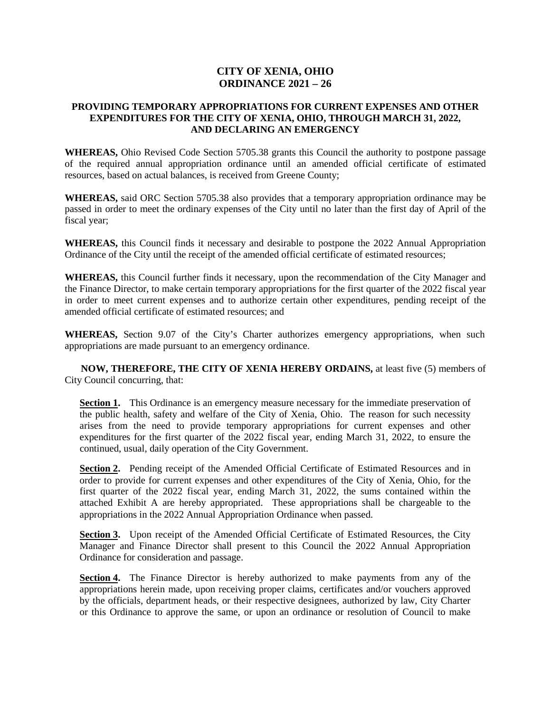## **CITY OF XENIA, OHIO ORDINANCE 2021 – 26**

## **PROVIDING TEMPORARY APPROPRIATIONS FOR CURRENT EXPENSES AND OTHER EXPENDITURES FOR THE CITY OF XENIA, OHIO, THROUGH MARCH 31, 2022, AND DECLARING AN EMERGENCY**

**WHEREAS,** Ohio Revised Code Section 5705.38 grants this Council the authority to postpone passage of the required annual appropriation ordinance until an amended official certificate of estimated resources, based on actual balances, is received from Greene County;

**WHEREAS,** said ORC Section 5705.38 also provides that a temporary appropriation ordinance may be passed in order to meet the ordinary expenses of the City until no later than the first day of April of the fiscal year;

**WHEREAS,** this Council finds it necessary and desirable to postpone the 2022 Annual Appropriation Ordinance of the City until the receipt of the amended official certificate of estimated resources;

**WHEREAS,** this Council further finds it necessary, upon the recommendation of the City Manager and the Finance Director, to make certain temporary appropriations for the first quarter of the 2022 fiscal year in order to meet current expenses and to authorize certain other expenditures, pending receipt of the amended official certificate of estimated resources; and

**WHEREAS,** Section 9.07 of the City's Charter authorizes emergency appropriations, when such appropriations are made pursuant to an emergency ordinance.

**NOW, THEREFORE, THE CITY OF XENIA HEREBY ORDAINS,** at least five (5) members of City Council concurring, that:

**Section 1.** This Ordinance is an emergency measure necessary for the immediate preservation of the public health, safety and welfare of the City of Xenia, Ohio. The reason for such necessity arises from the need to provide temporary appropriations for current expenses and other expenditures for the first quarter of the 2022 fiscal year, ending March 31, 2022, to ensure the continued, usual, daily operation of the City Government.

**Section 2.** Pending receipt of the Amended Official Certificate of Estimated Resources and in order to provide for current expenses and other expenditures of the City of Xenia, Ohio, for the first quarter of the 2022 fiscal year, ending March 31, 2022, the sums contained within the attached Exhibit A are hereby appropriated. These appropriations shall be chargeable to the appropriations in the 2022 Annual Appropriation Ordinance when passed.

**Section 3.** Upon receipt of the Amended Official Certificate of Estimated Resources, the City Manager and Finance Director shall present to this Council the 2022 Annual Appropriation Ordinance for consideration and passage.

**Section 4.** The Finance Director is hereby authorized to make payments from any of the appropriations herein made, upon receiving proper claims, certificates and/or vouchers approved by the officials, department heads, or their respective designees, authorized by law, City Charter or this Ordinance to approve the same, or upon an ordinance or resolution of Council to make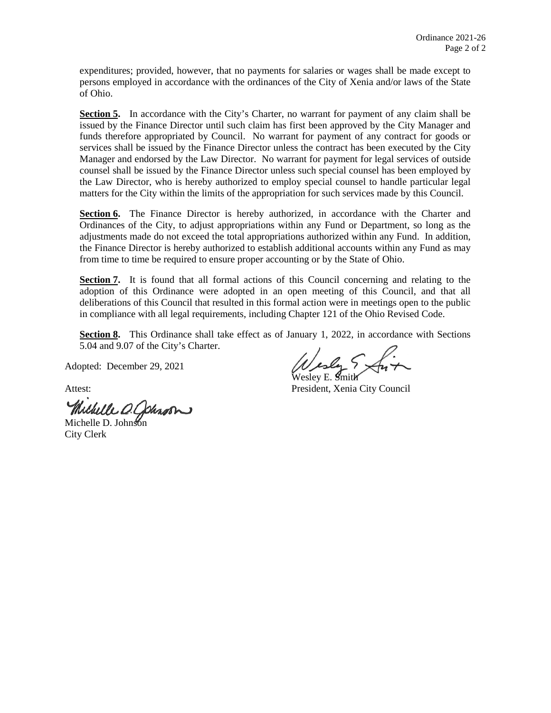expenditures; provided, however, that no payments for salaries or wages shall be made except to persons employed in accordance with the ordinances of the City of Xenia and/or laws of the State of Ohio.

Section 5. In accordance with the City's Charter, no warrant for payment of any claim shall be issued by the Finance Director until such claim has first been approved by the City Manager and funds therefore appropriated by Council. No warrant for payment of any contract for goods or services shall be issued by the Finance Director unless the contract has been executed by the City Manager and endorsed by the Law Director. No warrant for payment for legal services of outside counsel shall be issued by the Finance Director unless such special counsel has been employed by the Law Director, who is hereby authorized to employ special counsel to handle particular legal matters for the City within the limits of the appropriation for such services made by this Council.

**Section 6.** The Finance Director is hereby authorized, in accordance with the Charter and Ordinances of the City, to adjust appropriations within any Fund or Department, so long as the adjustments made do not exceed the total appropriations authorized within any Fund. In addition, the Finance Director is hereby authorized to establish additional accounts within any Fund as may from time to time be required to ensure proper accounting or by the State of Ohio.

**Section 7.** It is found that all formal actions of this Council concerning and relating to the adoption of this Ordinance were adopted in an open meeting of this Council, and that all deliberations of this Council that resulted in this formal action were in meetings open to the public in compliance with all legal requirements, including Chapter 121 of the Ohio Revised Code.

**Section 8.** This Ordinance shall take effect as of January 1, 2022, in accordance with Sections 5.04 and 9.07 of the City's Charter.

Adopted: December 29, 2021

Michelle D. Johnson

City Clerk

Wesley E. Smith

Attest: President, Xenia City Council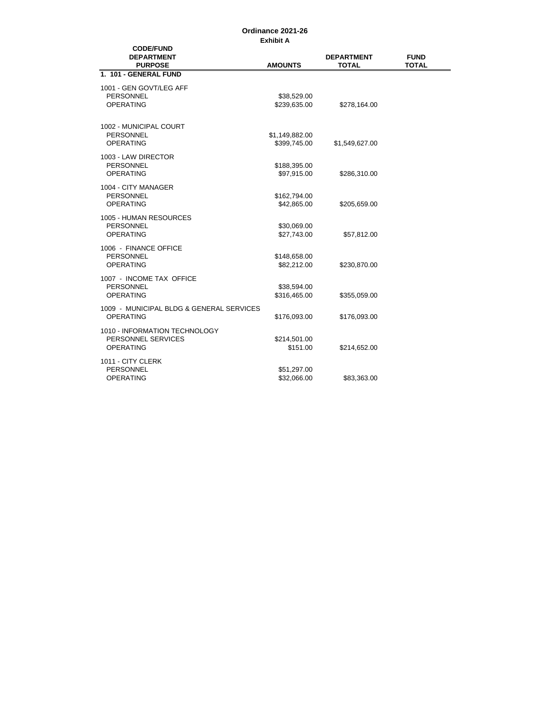## **Exhibit A Ordinance 2021-26**

| <b>CODE/FUND</b><br><b>DEPARTMENT</b><br><b>PURPOSE</b>                 | <b>AMOUNTS</b>                 | <b>DEPARTMENT</b><br><b>TOTAL</b> | <b>FUND</b><br><b>TOTAL</b> |
|-------------------------------------------------------------------------|--------------------------------|-----------------------------------|-----------------------------|
| 1. 101 - GENERAL FUND                                                   |                                |                                   |                             |
| 1001 - GEN GOVT/LEG AFF<br>PERSONNEL<br><b>OPERATING</b>                | \$38,529.00<br>\$239,635.00    | \$278,164.00                      |                             |
| 1002 - MUNICIPAL COURT<br><b>PERSONNEL</b><br><b>OPERATING</b>          | \$1,149,882.00<br>\$399,745.00 | \$1,549,627.00                    |                             |
| 1003 - LAW DIRECTOR<br>PERSONNEL<br><b>OPERATING</b>                    | \$188,395.00<br>\$97,915.00    | \$286,310.00                      |                             |
| 1004 - CITY MANAGER<br><b>PERSONNEL</b><br><b>OPERATING</b>             | \$162,794.00<br>\$42,865.00    | \$205,659.00                      |                             |
| 1005 - HUMAN RESOURCES<br><b>PERSONNEL</b><br><b>OPERATING</b>          | \$30,069.00<br>\$27,743.00     | \$57,812.00                       |                             |
| 1006 - FINANCE OFFICE<br>PERSONNEL<br><b>OPERATING</b>                  | \$148,658.00<br>\$82,212.00    | \$230,870.00                      |                             |
| 1007 - INCOME TAX OFFICE<br><b>PERSONNEL</b><br><b>OPERATING</b>        | \$38,594.00<br>\$316,465.00    | \$355,059.00                      |                             |
| 1009 - MUNICIPAL BLDG & GENERAL SERVICES<br><b>OPERATING</b>            | \$176,093.00                   | \$176,093.00                      |                             |
| 1010 - INFORMATION TECHNOLOGY<br>PERSONNEL SERVICES<br><b>OPERATING</b> | \$214,501.00<br>\$151.00       | \$214,652.00                      |                             |
| 1011 - CITY CLERK<br><b>PERSONNEL</b><br><b>OPERATING</b>               | \$51,297.00<br>\$32,066.00     | \$83,363.00                       |                             |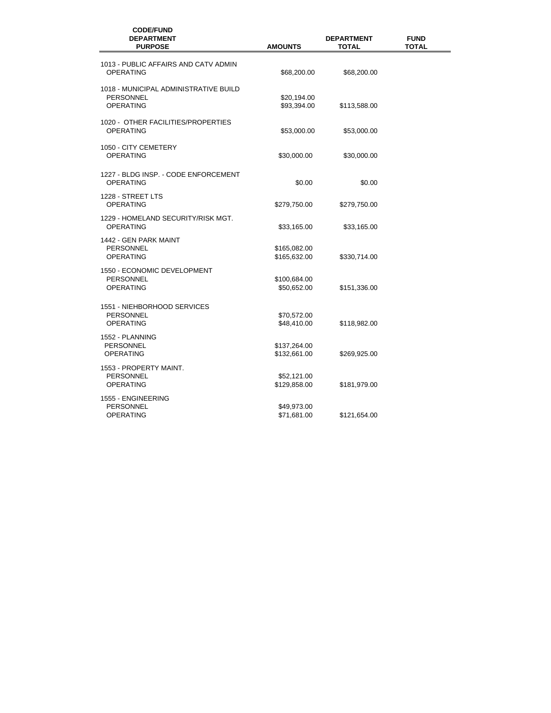| <b>CODE/FUND</b><br><b>DEPARTMENT</b><br><b>PURPOSE</b>                       | <b>AMOUNTS</b>               | <b>DEPARTMENT</b><br><b>TOTAL</b> | <b>FUND</b><br><b>TOTAL</b> |
|-------------------------------------------------------------------------------|------------------------------|-----------------------------------|-----------------------------|
| 1013 - PUBLIC AFFAIRS AND CATV ADMIN<br><b>OPERATING</b>                      | \$68,200.00                  | \$68,200.00                       |                             |
| 1018 - MUNICIPAL ADMINISTRATIVE BUILD<br><b>PERSONNEL</b><br><b>OPERATING</b> | \$20,194.00<br>\$93,394.00   | \$113,588.00                      |                             |
| 1020 - OTHER FACILITIES/PROPERTIES<br><b>OPERATING</b>                        | \$53,000.00                  | \$53,000.00                       |                             |
| 1050 - CITY CEMETERY<br><b>OPERATING</b>                                      | \$30,000.00                  | \$30,000.00                       |                             |
| 1227 - BLDG INSP. - CODE ENFORCEMENT<br><b>OPERATING</b>                      | \$0.00                       | \$0.00                            |                             |
| 1228 - STREET LTS<br><b>OPERATING</b>                                         | \$279,750.00                 | \$279,750.00                      |                             |
| 1229 - HOMELAND SECURITY/RISK MGT.<br><b>OPERATING</b>                        | \$33,165.00                  | \$33,165.00                       |                             |
| 1442 - GEN PARK MAINT<br>PERSONNEL<br><b>OPERATING</b>                        | \$165,082.00<br>\$165,632.00 | \$330,714.00                      |                             |
| 1550 - ECONOMIC DEVELOPMENT<br>PERSONNEL<br><b>OPERATING</b>                  | \$100,684.00<br>\$50,652.00  | \$151,336.00                      |                             |
| 1551 - NIEHBORHOOD SERVICES<br>PERSONNEL<br><b>OPERATING</b>                  | \$70,572.00<br>\$48,410.00   | \$118,982.00                      |                             |
| 1552 - PLANNING<br><b>PERSONNEL</b><br><b>OPERATING</b>                       | \$137,264.00<br>\$132,661.00 | \$269,925.00                      |                             |
| 1553 - PROPERTY MAINT.<br>PERSONNEL<br><b>OPERATING</b>                       | \$52,121.00<br>\$129,858.00  | \$181,979.00                      |                             |
| 1555 - ENGINEERING<br>PERSONNEL<br><b>OPERATING</b>                           | \$49,973.00<br>\$71,681.00   | \$121,654.00                      |                             |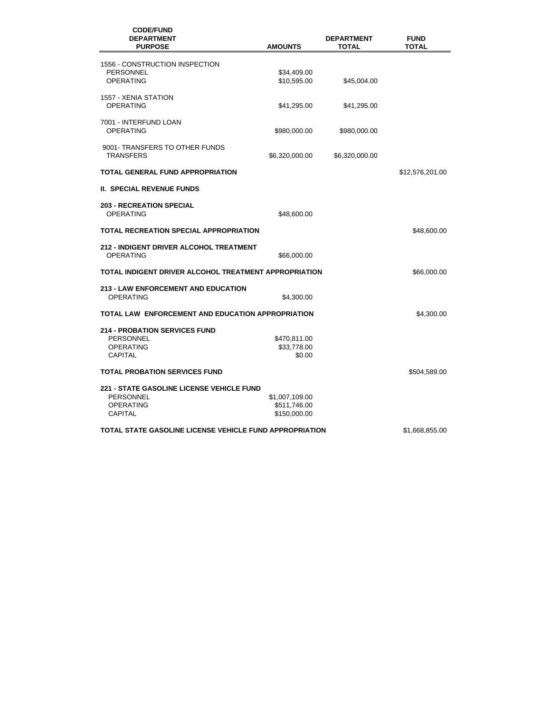| <b>CODE/FUND</b><br><b>DEPARTMENT</b><br><b>PURPOSE</b>                                                    | <b>AMOUNTS</b>                                 | <b>DEPARTMENT</b><br>TOTAL | <b>FUND</b><br><b>TOTAL</b> |
|------------------------------------------------------------------------------------------------------------|------------------------------------------------|----------------------------|-----------------------------|
| 1556 - CONSTRUCTION INSPECTION<br>PERSONNEL<br><b>OPERATING</b>                                            | \$34,409.00<br>\$10,595.00                     | \$45,004.00                |                             |
| 1557 - XENIA STATION<br><b>OPERATING</b>                                                                   | \$41,295.00                                    | \$41,295.00                |                             |
| 7001 - INTERFUND LOAN<br><b>OPERATING</b>                                                                  | \$980,000.00                                   | \$980,000.00               |                             |
| 9001- TRANSFERS TO OTHER FUNDS<br><b>TRANSFERS</b>                                                         | \$6,320,000.00                                 | \$6,320,000.00             |                             |
| TOTAL GENERAL FUND APPROPRIATION                                                                           |                                                |                            | \$12,576,201.00             |
| <b>II. SPECIAL REVENUE FUNDS</b>                                                                           |                                                |                            |                             |
| <b>203 - RECREATION SPECIAL</b><br><b>OPERATING</b>                                                        | \$48,600.00                                    |                            |                             |
| TOTAL RECREATION SPECIAL APPROPRIATION                                                                     |                                                |                            | \$48,600.00                 |
| <b>212 - INDIGENT DRIVER ALCOHOL TREATMENT</b><br><b>OPERATING</b>                                         | \$66,000.00                                    |                            |                             |
| TOTAL INDIGENT DRIVER ALCOHOL TREATMENT APPROPRIATION<br>\$66,000.00                                       |                                                |                            |                             |
| <b>213 - LAW ENFORCEMENT AND EDUCATION</b><br><b>OPERATING</b>                                             | \$4,300.00                                     |                            |                             |
| TOTAL LAW ENFORCEMENT AND EDUCATION APPROPRIATION                                                          |                                                |                            | \$4,300.00                  |
| <b>214 - PROBATION SERVICES FUND</b><br>PERSONNEL<br><b>OPERATING</b><br><b>CAPITAL</b>                    | \$470,811.00<br>\$33,778.00<br>\$0.00          |                            |                             |
| <b>TOTAL PROBATION SERVICES FUND</b>                                                                       |                                                |                            | \$504,589.00                |
| <b>221 - STATE GASOLINE LICENSE VEHICLE FUND</b><br><b>PERSONNEL</b><br><b>OPERATING</b><br><b>CAPITAL</b> | \$1,007,109.00<br>\$511,746.00<br>\$150,000.00 |                            |                             |
| TOTAL STATE GASOLINE LICENSE VEHICLE FUND APPROPRIATION                                                    |                                                |                            | \$1,668,855.00              |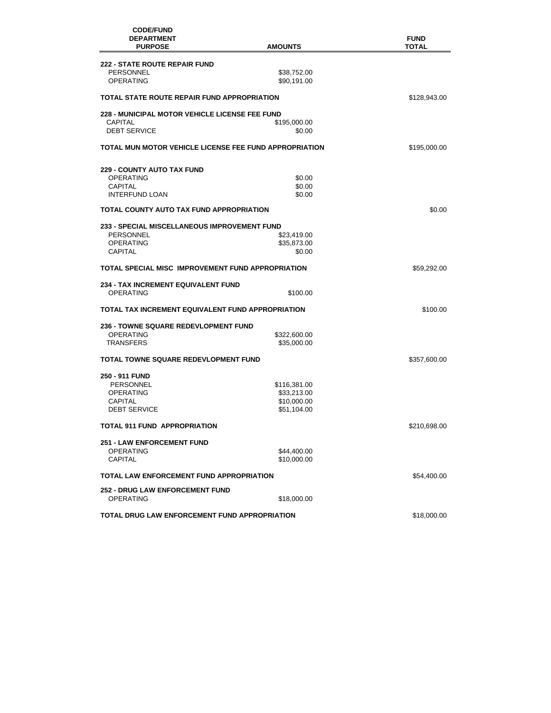| <b>CODE/FUND</b><br><b>DEPARTMENT</b><br><b>PURPOSE</b> | <b>AMOUNTS</b>             | <b>FUND</b><br>TOTAL |
|---------------------------------------------------------|----------------------------|----------------------|
| <b>222 - STATE ROUTE REPAIR FUND</b>                    |                            |                      |
| <b>PERSONNEL</b><br><b>OPERATING</b>                    | \$38,752.00<br>\$90,191.00 |                      |
| TOTAL STATE ROUTE REPAIR FUND APPROPRIATION             |                            | \$128,943.00         |
| <b>228 - MUNICIPAL MOTOR VEHICLE LICENSE FEE FUND</b>   |                            |                      |
| CAPITAL                                                 | \$195,000.00               |                      |
| <b>DEBT SERVICE</b>                                     | \$0.00                     |                      |
| TOTAL MUN MOTOR VEHICLE LICENSE FEE FUND APPROPRIATION  |                            | \$195,000.00         |
| <b>229 - COUNTY AUTO TAX FUND</b>                       |                            |                      |
| OPERATING                                               | \$0.00                     |                      |
| CAPITAL                                                 | \$0.00                     |                      |
| <b>INTERFUND LOAN</b>                                   | \$0.00                     |                      |
| TOTAL COUNTY AUTO TAX FUND APPROPRIATION                |                            | \$0.00               |
| 233 - SPECIAL MISCELLANEOUS IMPROVEMENT FUND            |                            |                      |
| <b>PERSONNEL</b>                                        | \$23,419.00                |                      |
| <b>OPERATING</b>                                        | \$35,873.00                |                      |
| <b>CAPITAL</b>                                          | \$0.00                     |                      |
| TOTAL SPECIAL MISC IMPROVEMENT FUND APPROPRIATION       |                            | \$59,292.00          |
| <b>234 - TAX INCREMENT EQUIVALENT FUND</b>              |                            |                      |
| <b>OPERATING</b>                                        | \$100.00                   |                      |
| TOTAL TAX INCREMENT EQUIVALENT FUND APPROPRIATION       |                            | \$100.00             |
| <b>236 - TOWNE SQUARE REDEVLOPMENT FUND</b>             |                            |                      |
| <b>OPERATING</b>                                        | \$322,600.00               |                      |
| TRANSFERS                                               | \$35,000.00                |                      |
| TOTAL TOWNE SQUARE REDEVLOPMENT FUND                    |                            | \$357,600.00         |
| 250 - 911 FUND                                          |                            |                      |
| PERSONNEL                                               | \$116,381.00               |                      |
| <b>OPERATING</b>                                        | \$33,213.00                |                      |
| CAPITAL                                                 | \$10,000.00                |                      |
| <b>DEBT SERVICE</b>                                     | \$51,104.00                |                      |
| <b>TOTAL 911 FUND APPROPRIATION</b>                     |                            | \$210,698.00         |
| <b>251 - LAW ENFORCEMENT FUND</b>                       |                            |                      |
| <b>OPERATING</b>                                        | \$44,400.00                |                      |
| CAPITAL                                                 | \$10,000.00                |                      |
| <b>TOTAL LAW ENFORCEMENT FUND APPROPRIATION</b>         |                            | \$54,400.00          |
| <b>252 - DRUG LAW ENFORCEMENT FUND</b>                  |                            |                      |
| <b>OPERATING</b>                                        | \$18,000.00                |                      |
| <b>TOTAL DRUG LAW ENFORCEMENT FUND APPROPRIATION</b>    |                            | \$18,000.00          |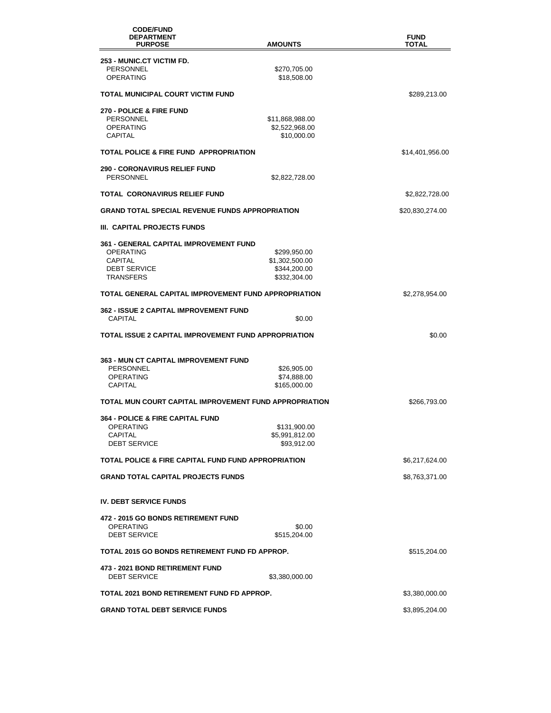| <b>CODE/FUND</b><br><b>DEPARTMENT</b>                           |                                   | <b>FUND</b>     |
|-----------------------------------------------------------------|-----------------------------------|-----------------|
| <b>PURPOSE</b>                                                  | <b>AMOUNTS</b>                    | TOTAL           |
| 253 - MUNIC.CT VICTIM FD.                                       |                                   |                 |
| PERSONNEL<br><b>OPERATING</b>                                   | \$270,705.00<br>\$18,508.00       |                 |
| TOTAL MUNICIPAL COURT VICTIM FUND                               |                                   | \$289,213.00    |
| <b>270 - POLICE &amp; FIRE FUND</b>                             |                                   |                 |
| <b>PERSONNEL</b><br>OPERATING                                   | \$11,868,988.00<br>\$2,522,968.00 |                 |
| <b>CAPITAL</b>                                                  | \$10,000.00                       |                 |
| <b>TOTAL POLICE &amp; FIRE FUND APPROPRIATION</b>               |                                   | \$14,401,956.00 |
| <b>290 - CORONAVIRUS RELIEF FUND</b><br>PERSONNEL               | \$2,822,728.00                    |                 |
| TOTAL CORONAVIRUS RELIEF FUND                                   |                                   | \$2,822,728.00  |
| <b>GRAND TOTAL SPECIAL REVENUE FUNDS APPROPRIATION</b>          |                                   | \$20,830,274.00 |
| III. CAPITAL PROJECTS FUNDS                                     |                                   |                 |
| <b>361 - GENERAL CAPITAL IMPROVEMENT FUND</b>                   |                                   |                 |
| OPERATING<br>CAPITAL                                            | \$299,950.00<br>\$1,302,500.00    |                 |
| <b>DEBT SERVICE</b>                                             | \$344,200.00                      |                 |
| <b>TRANSFERS</b>                                                | \$332,304.00                      |                 |
| TOTAL GENERAL CAPITAL IMPROVEMENT FUND APPROPRIATION            |                                   | \$2,278,954.00  |
| 362 - ISSUE 2 CAPITAL IMPROVEMENT FUND<br><b>CAPITAL</b>        | \$0.00                            |                 |
| TOTAL ISSUE 2 CAPITAL IMPROVEMENT FUND APPROPRIATION            |                                   | \$0.00          |
| <b>363 - MUN CT CAPITAL IMPROVEMENT FUND</b>                    |                                   |                 |
| <b>PERSONNEL</b>                                                | \$26,905.00                       |                 |
| <b>OPERATING</b><br>CAPITAL                                     | \$74,888.00<br>\$165,000.00       |                 |
|                                                                 |                                   |                 |
| TOTAL MUN COURT CAPITAL IMPROVEMENT FUND APPROPRIATION          |                                   | \$266,793.00    |
| <b>364 - POLICE &amp; FIRE CAPITAL FUND</b><br><b>OPERATING</b> | \$131,900.00                      |                 |
| <b>CAPITAL</b>                                                  | \$5,991,812.00                    |                 |
| <b>DEBT SERVICE</b>                                             | \$93,912.00                       |                 |
| TOTAL POLICE & FIRE CAPITAL FUND FUND APPROPRIATION             |                                   | \$6,217,624.00  |
| <b>GRAND TOTAL CAPITAL PROJECTS FUNDS</b>                       |                                   | \$8,763,371.00  |
| <b>IV. DEBT SERVICE FUNDS</b>                                   |                                   |                 |
| 472 - 2015 GO BONDS RETIREMENT FUND                             |                                   |                 |
| <b>OPERATING</b><br><b>DEBT SERVICE</b>                         | \$0.00<br>\$515,204.00            |                 |
| TOTAL 2015 GO BONDS RETIREMENT FUND FD APPROP.                  |                                   | \$515,204.00    |
| <b>473 - 2021 BOND RETIREMENT FUND</b><br><b>DEBT SERVICE</b>   | \$3,380,000.00                    |                 |
| TOTAL 2021 BOND RETIREMENT FUND FD APPROP.                      |                                   | \$3,380,000.00  |
| <b>GRAND TOTAL DEBT SERVICE FUNDS</b>                           |                                   | \$3,895,204.00  |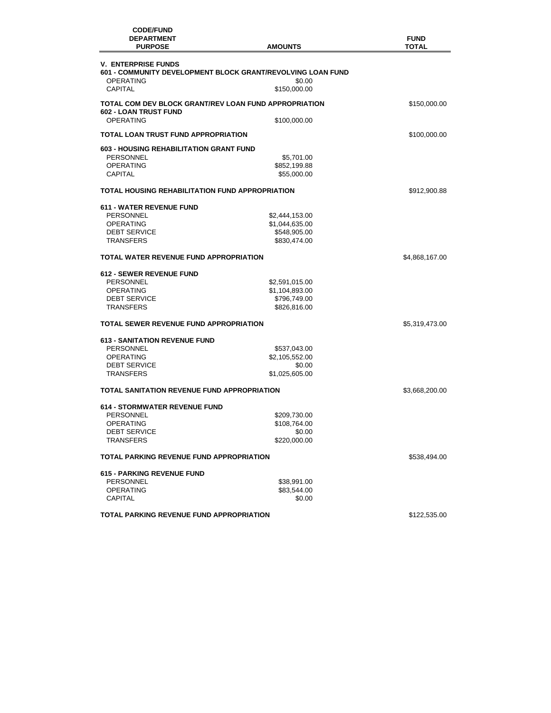| <b>CODE/FUND</b><br><b>DEPARTMENT</b><br><b>PURPOSE</b> | <b>AMOUNTS</b>                                              | <b>FUND</b><br><b>TOTAL</b> |
|---------------------------------------------------------|-------------------------------------------------------------|-----------------------------|
| <b>V. ENTERPRISE FUNDS</b>                              |                                                             |                             |
|                                                         | 601 - COMMUNITY DEVELOPMENT BLOCK GRANT/REVOLVING LOAN FUND |                             |
| <b>OPERATING</b>                                        | \$0.00                                                      |                             |
| <b>CAPITAL</b>                                          | \$150,000.00                                                |                             |
| TOTAL COM DEV BLOCK GRANT/REV LOAN FUND APPROPRIATION   |                                                             | \$150,000.00                |
| <b>602 - LOAN TRUST FUND</b>                            |                                                             |                             |
| <b>OPERATING</b>                                        | \$100,000.00                                                |                             |
| <b>TOTAL LOAN TRUST FUND APPROPRIATION</b>              |                                                             | \$100,000.00                |
| <b>603 - HOUSING REHABILITATION GRANT FUND</b>          |                                                             |                             |
| <b>PERSONNEL</b>                                        | \$5,701.00                                                  |                             |
| <b>OPERATING</b>                                        | \$852,199.88                                                |                             |
| <b>CAPITAL</b>                                          | \$55,000.00                                                 |                             |
| <b>TOTAL HOUSING REHABILITATION FUND APPROPRIATION</b>  |                                                             | \$912,900.88                |
|                                                         |                                                             |                             |
| <b>611 - WATER REVENUE FUND</b>                         |                                                             |                             |
| PERSONNEL                                               | \$2,444,153.00                                              |                             |
| <b>OPERATING</b>                                        | \$1,044,635.00                                              |                             |
| <b>DEBT SERVICE</b>                                     | \$548,905.00                                                |                             |
| <b>TRANSFERS</b>                                        | \$830,474.00                                                |                             |
| TOTAL WATER REVENUE FUND APPROPRIATION                  |                                                             | \$4,868,167.00              |
| <b>612 - SEWER REVENUE FUND</b>                         |                                                             |                             |
| PERSONNEL                                               |                                                             |                             |
|                                                         | \$2,591,015.00                                              |                             |
| <b>OPERATING</b>                                        | \$1,104,893.00                                              |                             |
| <b>DEBT SERVICE</b>                                     | \$796,749.00                                                |                             |
| <b>TRANSFERS</b>                                        | \$826,816.00                                                |                             |
| <b>TOTAL SEWER REVENUE FUND APPROPRIATION</b>           |                                                             | \$5,319,473.00              |
| <b>613 - SANITATION REVENUE FUND</b>                    |                                                             |                             |
| <b>PERSONNEL</b>                                        | \$537,043.00                                                |                             |
| <b>OPERATING</b>                                        | \$2,105,552.00                                              |                             |
| <b>DEBT SERVICE</b>                                     | \$0.00                                                      |                             |
| <b>TRANSFERS</b>                                        | \$1,025,605.00                                              |                             |
| TOTAL SANITATION REVENUE FUND APPROPRIATION             |                                                             | \$3,668,200.00              |
|                                                         |                                                             |                             |
| <b>614 - STORMWATER REVENUE FUND</b>                    |                                                             |                             |
| PERSONNEL                                               | \$209,730.00                                                |                             |
| <b>OPERATING</b>                                        | \$108,764.00                                                |                             |
| <b>DEBT SERVICE</b>                                     | \$0.00                                                      |                             |
| <b>TRANSFERS</b>                                        | \$220,000.00                                                |                             |
| <b>TOTAL PARKING REVENUE FUND APPROPRIATION</b>         |                                                             | \$538,494.00                |
| <b>615 - PARKING REVENUE FUND</b>                       |                                                             |                             |
| PERSONNEL                                               | \$38,991.00                                                 |                             |
| <b>OPERATING</b>                                        | \$83,544.00                                                 |                             |
| <b>CAPITAL</b>                                          | \$0.00                                                      |                             |
| TOTAL PARKING REVENUE FUND APPROPRIATION                |                                                             | \$122,535.00                |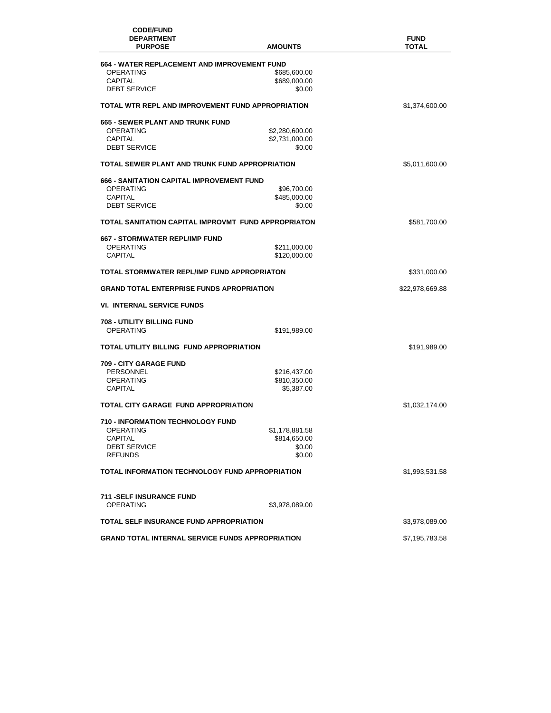| <b>CODE/FUND</b><br><b>DEPARTMENT</b><br><b>PURPOSE</b> | <b>AMOUNTS</b> | <b>FUND</b><br><b>TOTAL</b> |
|---------------------------------------------------------|----------------|-----------------------------|
| 664 - WATER REPLACEMENT AND IMPROVEMENT FUND            |                |                             |
| <b>OPERATING</b>                                        | \$685,600.00   |                             |
| <b>CAPITAL</b>                                          | \$689,000.00   |                             |
| <b>DEBT SERVICE</b>                                     | \$0.00         |                             |
| TOTAL WTR REPL AND IMPROVEMENT FUND APPROPRIATION       |                | \$1,374,600.00              |
| <b>665 - SEWER PLANT AND TRUNK FUND</b>                 |                |                             |
| <b>OPERATING</b>                                        | \$2,280,600.00 |                             |
| <b>CAPITAL</b>                                          | \$2,731,000.00 |                             |
| <b>DEBT SERVICE</b>                                     | \$0.00         |                             |
| TOTAL SEWER PLANT AND TRUNK FUND APPROPRIATION          |                | \$5,011,600.00              |
| <b>666 - SANITATION CAPITAL IMPROVEMENT FUND</b>        |                |                             |
| <b>OPERATING</b>                                        | \$96,700.00    |                             |
| <b>CAPITAL</b>                                          | \$485,000.00   |                             |
| <b>DEBT SERVICE</b>                                     | \$0.00         |                             |
| TOTAL SANITATION CAPITAL IMPROVMT FUND APPROPRIATON     |                | \$581,700.00                |
| 667 - STORMWATER REPL/IMP FUND                          |                |                             |
| <b>OPERATING</b>                                        | \$211,000.00   |                             |
| <b>CAPITAL</b>                                          | \$120,000.00   |                             |
| TOTAL STORMWATER REPL/IMP FUND APPROPRIATON             |                | \$331,000.00                |
| <b>GRAND TOTAL ENTERPRISE FUNDS APROPRIATION</b>        |                | \$22,978,669.88             |
| <b>VI. INTERNAL SERVICE FUNDS</b>                       |                |                             |
| 708 - UTILITY BILLING FUND                              |                |                             |
| <b>OPERATING</b>                                        | \$191,989.00   |                             |
| TOTAL UTILITY BILLING FUND APPROPRIATION                |                | \$191,989.00                |
| <b>709 - CITY GARAGE FUND</b>                           |                |                             |
| <b>PERSONNEL</b>                                        | \$216,437.00   |                             |
| <b>OPERATING</b>                                        | \$810,350.00   |                             |
| <b>CAPITAL</b>                                          | \$5,387.00     |                             |
| TOTAL CITY GARAGE FUND APPROPRIATION                    |                | \$1,032,174.00              |
| <b>710 - INFORMATION TECHNOLOGY FUND</b>                |                |                             |
| OPERATING                                               | \$1,178,881.58 |                             |
| CAPITAL                                                 | \$814,650.00   |                             |
| <b>DEBT SERVICE</b>                                     | \$0.00         |                             |
| <b>REFUNDS</b>                                          | \$0.00         |                             |
| TOTAL INFORMATION TECHNOLOGY FUND APPROPRIATION         |                | \$1,993,531.58              |
| <b>711 - SELF INSURANCE FUND</b>                        |                |                             |
| <b>OPERATING</b>                                        | \$3,978,089.00 |                             |
| <b>TOTAL SELF INSURANCE FUND APPROPRIATION</b>          |                | \$3,978,089.00              |
|                                                         |                |                             |
| <b>GRAND TOTAL INTERNAL SERVICE FUNDS APPROPRIATION</b> |                | \$7,195,783.58              |